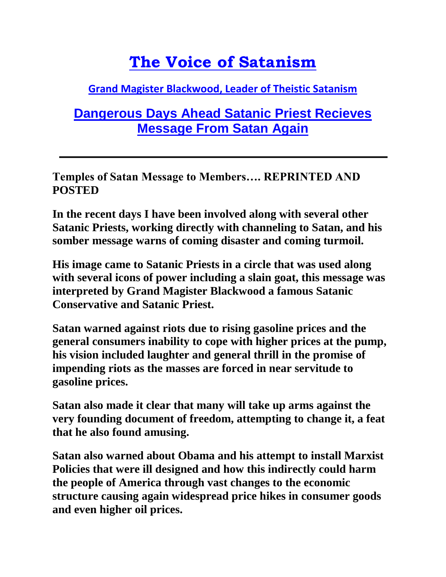## **[The Voice of Satanism](http://voiceofsatanism.com/)**

## **[Grand Magister Blackwood,](http://voiceofsatanism.com/author/blackwood666/) Leader of Theistic Satanism**

## **[Dangerous Days Ahead Satanic Priest Recieves](http://voiceofsatanism.com/tag/temple-of-satan/)  [Message From Satan](http://voiceofsatanism.com/tag/temple-of-satan/) Again**

**Temples of Satan Message to Members…. REPRINTED AND POSTED**

**In the recent days I have been involved along with several other Satanic Priests, working directly with channeling to Satan, and his somber message warns of coming disaster and coming turmoil.**

**His image came to Satanic Priests in a circle that was used along with several icons of power including a slain goat, this message was interpreted by Grand Magister Blackwood a famous Satanic Conservative and Satanic Priest.**

**Satan warned against riots due to rising gasoline prices and the general consumers inability to cope with higher prices at the pump, his vision included laughter and general thrill in the promise of impending riots as the masses are forced in near servitude to gasoline prices.**

**Satan also made it clear that many will take up arms against the very founding document of freedom, attempting to change it, a feat that he also found amusing.**

**Satan also warned about Obama and his attempt to install Marxist Policies that were ill designed and how this indirectly could harm the people of America through vast changes to the economic structure causing again widespread price hikes in consumer goods and even higher oil prices.**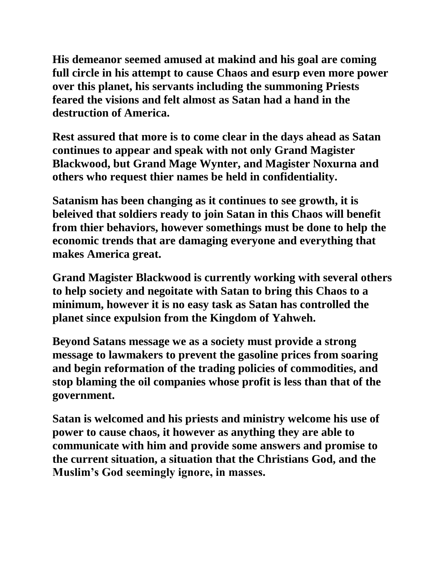**His demeanor seemed amused at makind and his goal are coming full circle in his attempt to cause Chaos and esurp even more power over this planet, his servants including the summoning Priests feared the visions and felt almost as Satan had a hand in the destruction of America.**

**Rest assured that more is to come clear in the days ahead as Satan continues to appear and speak with not only Grand Magister Blackwood, but Grand Mage Wynter, and Magister Noxurna and others who request thier names be held in confidentiality.**

**Satanism has been changing as it continues to see growth, it is beleived that soldiers ready to join Satan in this Chaos will benefit from thier behaviors, however somethings must be done to help the economic trends that are damaging everyone and everything that makes America great.**

**Grand Magister Blackwood is currently working with several others to help society and negoitate with Satan to bring this Chaos to a minimum, however it is no easy task as Satan has controlled the planet since expulsion from the Kingdom of Yahweh.**

**Beyond Satans message we as a society must provide a strong message to lawmakers to prevent the gasoline prices from soaring and begin reformation of the trading policies of commodities, and stop blaming the oil companies whose profit is less than that of the government.**

**Satan is welcomed and his priests and ministry welcome his use of power to cause chaos, it however as anything they are able to communicate with him and provide some answers and promise to the current situation, a situation that the Christians God, and the Muslim's God seemingly ignore, in masses.**